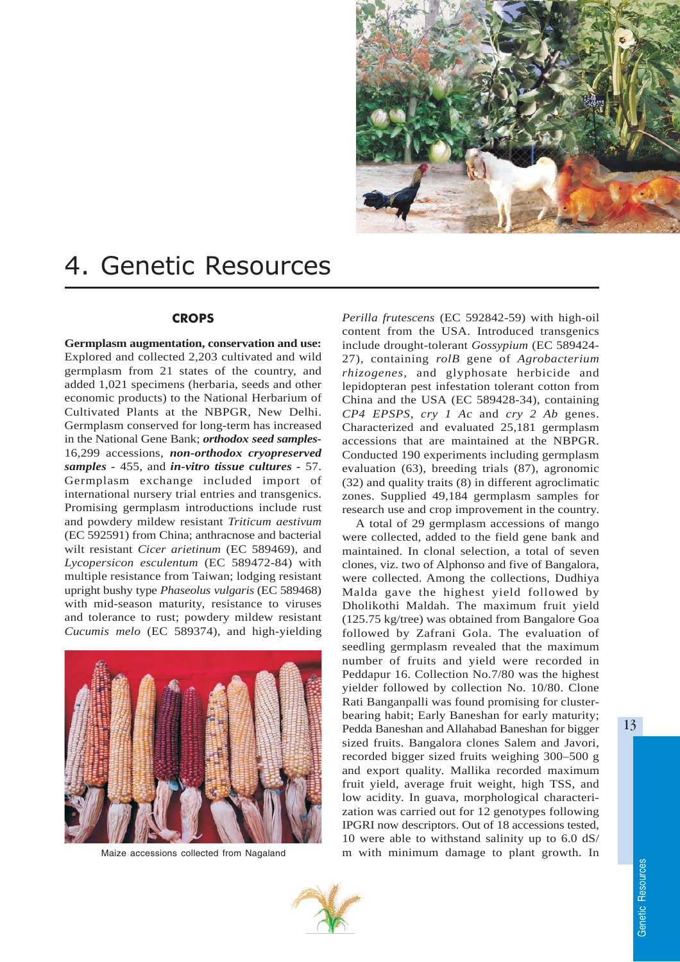

# 4. Genetic Resources

# **CROPS**

**Germplasm augmentation, conservation and use:** Explored and collected 2,203 cultivated and wild germplasm from 21 states of the country, and added 1,021 specimens (herbaria, seeds and other economic products) to the National Herbarium of Cultivated Plants at the NBPGR, New Delhi. Germplasm conserved for long-term has increased in the National Gene Bank; *orthodox seed samples-*16,299 accessions, *non-orthodox cryopreserved samples -* 455, and *in-vitro tissue cultures -* 57. Germplasm exchange included import of international nursery trial entries and transgenics. Promising germplasm introductions include rust and powdery mildew resistant *Triticum aestivum* (EC 592591) from China; anthracnose and bacterial wilt resistant *Cicer arietinum* (EC 589469), and *Lycopersicon esculentum* (EC 589472-84) with multiple resistance from Taiwan; lodging resistant upright bushy type *Phaseolus vulgaris* (EC 589468) with mid-season maturity, resistance to viruses and tolerance to rust; powdery mildew resistant *Cucumis melo* (EC 589374), and high-yielding



Maize accessions collected from Nagaland

*Perilla frutescens* (EC 592842-59) with high-oil content from the USA. Introduced transgenics include drought-tolerant *Gossypium* (EC 589424- 27), containing *rolB* gene of *Agrobacterium rhizogenes,* and glyphosate herbicide and lepidopteran pest infestation tolerant cotton from China and the USA (EC 589428-34), containing *CP4 EPSPS*, *cry 1 Ac* and *cry 2 Ab* genes. Characterized and evaluated 25,181 germplasm accessions that are maintained at the NBPGR. Conducted 190 experiments including germplasm evaluation (63), breeding trials (87), agronomic (32) and quality traits (8) in different agroclimatic zones. Supplied 49,184 germplasm samples for research use and crop improvement in the country.

A total of 29 germplasm accessions of mango were collected, added to the field gene bank and maintained. In clonal selection, a total of seven clones, viz. two of Alphonso and five of Bangalora, were collected. Among the collections, Dudhiya Malda gave the highest yield followed by Dholikothi Maldah. The maximum fruit yield (125.75 kg/tree) was obtained from Bangalore Goa followed by Zafrani Gola. The evaluation of seedling germplasm revealed that the maximum number of fruits and yield were recorded in Peddapur 16. Collection No.7/80 was the highest yielder followed by collection No. 10/80. Clone Rati Banganpalli was found promising for clusterbearing habit; Early Baneshan for early maturity; Pedda Baneshan and Allahabad Baneshan for bigger sized fruits. Bangalora clones Salem and Javori, recorded bigger sized fruits weighing 300–500 g and export quality. Mallika recorded maximum fruit yield, average fruit weight, high TSS, and low acidity. In guava, morphological characterization was carried out for 12 genotypes following IPGRI now descriptors. Out of 18 accessions tested, 10 were able to withstand salinity up to 6.0 dS/ m with minimum damage to plant growth. In

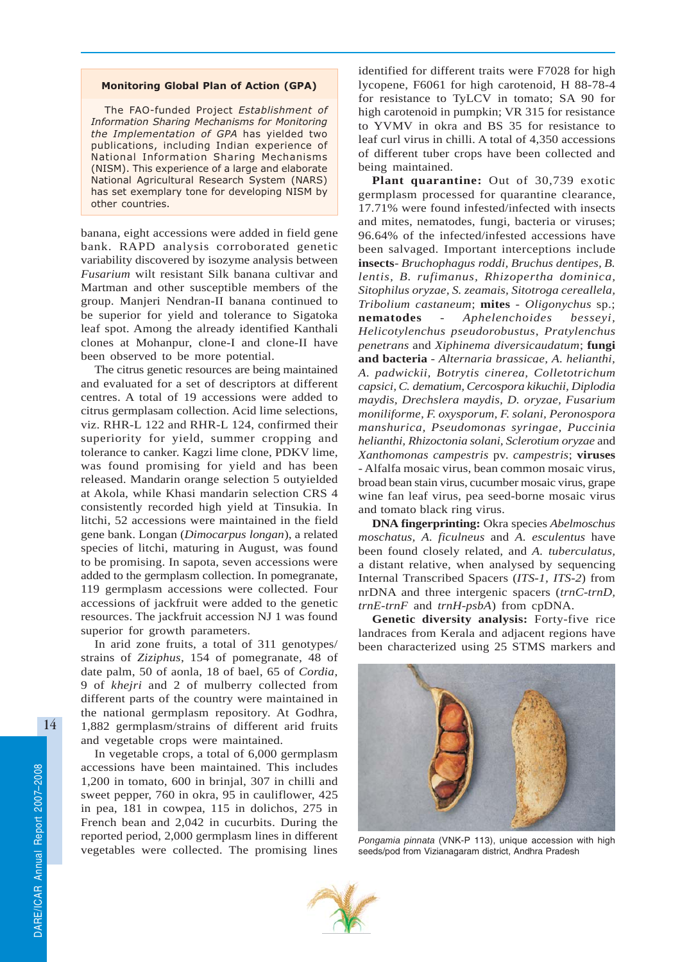#### Monitoring Global Plan of Action (GPA)

The FAO-funded Project Establishment of Information Sharing Mechanisms for Monitoring the Implementation of GPA has yielded two publications, including Indian experience of National Information Sharing Mechanisms (NISM). This experience of a large and elaborate National Agricultural Research System (NARS) has set exemplary tone for developing NISM by other countries.

banana, eight accessions were added in field gene bank. RAPD analysis corroborated genetic variability discovered by isozyme analysis between *Fusarium* wilt resistant Silk banana cultivar and Martman and other susceptible members of the group. Manjeri Nendran-II banana continued to be superior for yield and tolerance to Sigatoka leaf spot. Among the already identified Kanthali clones at Mohanpur, clone-I and clone-II have been observed to be more potential.

The citrus genetic resources are being maintained and evaluated for a set of descriptors at different centres. A total of 19 accessions were added to citrus germplasam collection. Acid lime selections, viz. RHR-L 122 and RHR-L 124, confirmed their superiority for yield, summer cropping and tolerance to canker. Kagzi lime clone, PDKV lime, was found promising for yield and has been released. Mandarin orange selection 5 outyielded at Akola, while Khasi mandarin selection CRS 4 consistently recorded high yield at Tinsukia. In litchi, 52 accessions were maintained in the field gene bank. Longan (*Dimocarpus longan*), a related species of litchi, maturing in August, was found to be promising. In sapota, seven accessions were added to the germplasm collection. In pomegranate, 119 germplasm accessions were collected. Four accessions of jackfruit were added to the genetic resources. The jackfruit accession NJ 1 was found superior for growth parameters.

In arid zone fruits, a total of 311 genotypes/ strains of *Ziziphus*, 154 of pomegranate, 48 of date palm, 50 of aonla, 18 of bael, 65 of *Cordia*, 9 of *khejri* and 2 of mulberry collected from different parts of the country were maintained in the national germplasm repository. At Godhra, 1,882 germplasm/strains of different arid fruits and vegetable crops were maintained.

In vegetable crops, a total of 6,000 germplasm accessions have been maintained. This includes 1,200 in tomato, 600 in brinjal, 307 in chilli and sweet pepper, 760 in okra, 95 in cauliflower, 425 in pea, 181 in cowpea, 115 in dolichos, 275 in French bean and 2,042 in cucurbits. During the reported period, 2,000 germplasm lines in different vegetables were collected. The promising lines

identified for different traits were F7028 for high lycopene, F6061 for high carotenoid, H 88-78-4 for resistance to TyLCV in tomato; SA 90 for high carotenoid in pumpkin; VR 315 for resistance to YVMV in okra and BS 35 for resistance to leaf curl virus in chilli. A total of 4,350 accessions of different tuber crops have been collected and being maintained.

**Plant quarantine:** Out of 30,739 exotic germplasm processed for quarantine clearance, 17.71% were found infested/infected with insects and mites, nematodes, fungi, bacteria or viruses; 96.64% of the infected/infested accessions have been salvaged. Important interceptions include **insects**- *Bruchophagus roddi, Bruchus dentipes, B. lentis, B. rufimanus, Rhizopertha dominica, Sitophilus oryzae, S. zeamais, Sitotroga cereallela, Tribolium castaneum*; **mites** - *Oligonychus* sp.; **nematodes** - *Aphelenchoides besseyi, Helicotylenchus pseudorobustus*, *Pratylenchus penetrans* and *Xiphinema diversicaudatum*; **fungi and bacteria** - *Alternaria brassicae, A. helianthi, A. padwickii, Botrytis cinerea, Colletotrichum capsici, C. dematium, Cercospora kikuchii, Diplodia maydis, Drechslera maydis, D. oryzae, Fusarium moniliforme, F. oxysporum, F. solani, Peronospora manshurica, Pseudomonas syringae, Puccinia helianthi, Rhizoctonia solani, Sclerotium oryzae* and *Xanthomonas campestris* pv. *campestris*; **viruses** - Alfalfa mosaic virus, bean common mosaic virus, broad bean stain virus, cucumber mosaic virus, grape wine fan leaf virus, pea seed-borne mosaic virus and tomato black ring virus.

**DNA fingerprinting:** Okra species *Abelmoschus moschatus, A. ficulneus* and *A. esculentus* have been found closely related, and *A. tuberculatus,* a distant relative, when analysed by sequencing Internal Transcribed Spacers (*ITS-1, ITS-2*) from nrDNA and three intergenic spacers (*trnC-trnD, trnE-trnF* and *trnH-psbA*) from cpDNA.

**Genetic diversity analysis:** Forty-five rice landraces from Kerala and adjacent regions have been characterized using 25 STMS markers and



*Pongamia pinnata* (VNK-P 113), unique accession with high seeds/pod from Vizianagaram district, Andhra Pradesh

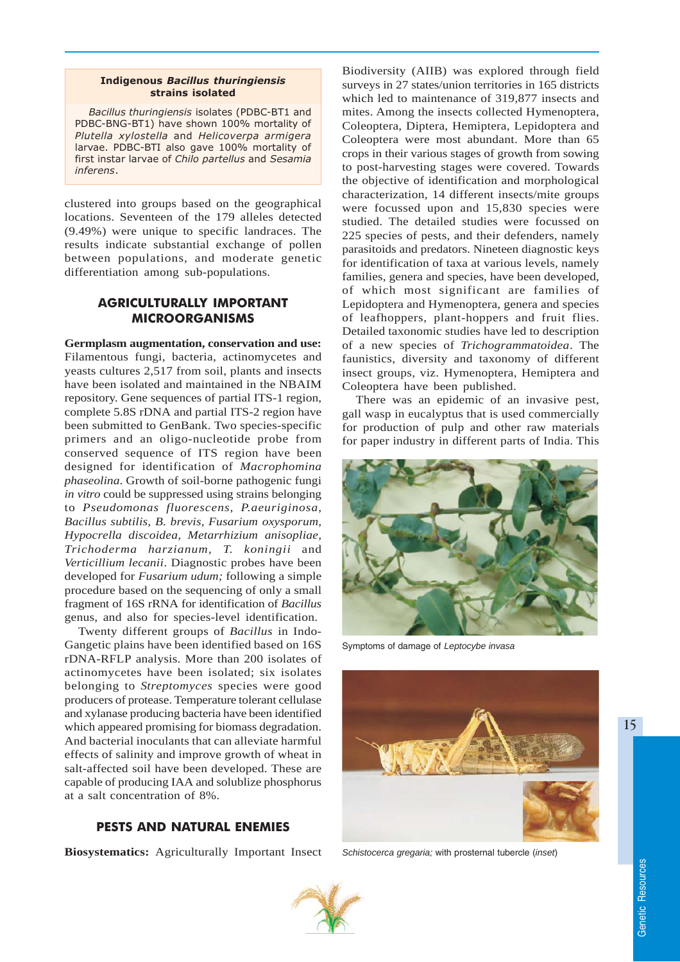#### Indigenous Bacillus thuringiensis strains isolated

Bacillus thuringiensis isolates (PDBC-BT1 and PDBC-BNG-BT1) have shown 100% mortality of Plutella xylostella and Helicoverpa armigera larvae. PDBC-BTI also gave 100% mortality of first instar larvae of Chilo partellus and Sesamia inferens.

clustered into groups based on the geographical locations. Seventeen of the 179 alleles detected (9.49%) were unique to specific landraces. The results indicate substantial exchange of pollen between populations, and moderate genetic differentiation among sub-populations.

# AGRICULTURALLY IMPORTANT MICROORGANISMS

**Germplasm augmentation, conservation and use:** Filamentous fungi, bacteria, actinomycetes and yeasts cultures 2,517 from soil, plants and insects have been isolated and maintained in the NBAIM repository. Gene sequences of partial ITS-1 region, complete 5.8S rDNA and partial ITS-2 region have been submitted to GenBank. Two species-specific primers and an oligo-nucleotide probe from conserved sequence of ITS region have been designed for identification of *Macrophomina phaseolina*. Growth of soil-borne pathogenic fungi *in vitro* could be suppressed using strains belonging to *Pseudomonas fluorescens, P.aeuriginosa, Bacillus subtilis, B. brevis, Fusarium oxysporum, Hypocrella discoidea, Metarrhizium anisopliae, Trichoderma harzianum, T. koningii* and *Verticillium lecanii*. Diagnostic probes have been developed for *Fusarium udum;* following a simple procedure based on the sequencing of only a small fragment of 16S rRNA for identification of *Bacillus* genus, and also for species-level identification.

Twenty different groups of *Bacillus* in Indo-Gangetic plains have been identified based on 16S rDNA-RFLP analysis. More than 200 isolates of actinomycetes have been isolated; six isolates belonging to *Streptomyces* species were good producers of protease. Temperature tolerant cellulase and xylanase producing bacteria have been identified which appeared promising for biomass degradation. And bacterial inoculants that can alleviate harmful effects of salinity and improve growth of wheat in salt-affected soil have been developed. These are capable of producing IAA and solublize phosphorus at a salt concentration of 8%.

## PESTS AND NATURAL ENEMIES

**Biosystematics:** Agriculturally Important Insect

Biodiversity (AIIB) was explored through field surveys in 27 states/union territories in 165 districts which led to maintenance of 319,877 insects and mites. Among the insects collected Hymenoptera, Coleoptera, Diptera, Hemiptera, Lepidoptera and Coleoptera were most abundant. More than 65 crops in their various stages of growth from sowing to post-harvesting stages were covered. Towards the objective of identification and morphological characterization, 14 different insects/mite groups were focussed upon and 15,830 species were studied. The detailed studies were focussed on 225 species of pests, and their defenders, namely parasitoids and predators. Nineteen diagnostic keys for identification of taxa at various levels, namely families, genera and species, have been developed, of which most significant are families of Lepidoptera and Hymenoptera, genera and species of leafhoppers, plant-hoppers and fruit flies. Detailed taxonomic studies have led to description of a new species of *Trichogrammatoidea*. The faunistics, diversity and taxonomy of different insect groups, viz. Hymenoptera, Hemiptera and Coleoptera have been published.

There was an epidemic of an invasive pest, gall wasp in eucalyptus that is used commercially for production of pulp and other raw materials for paper industry in different parts of India. This



Symptoms of damage of *Leptocybe invasa*



*Schistocerca gregaria;* with prosternal tubercle (*inset*)



15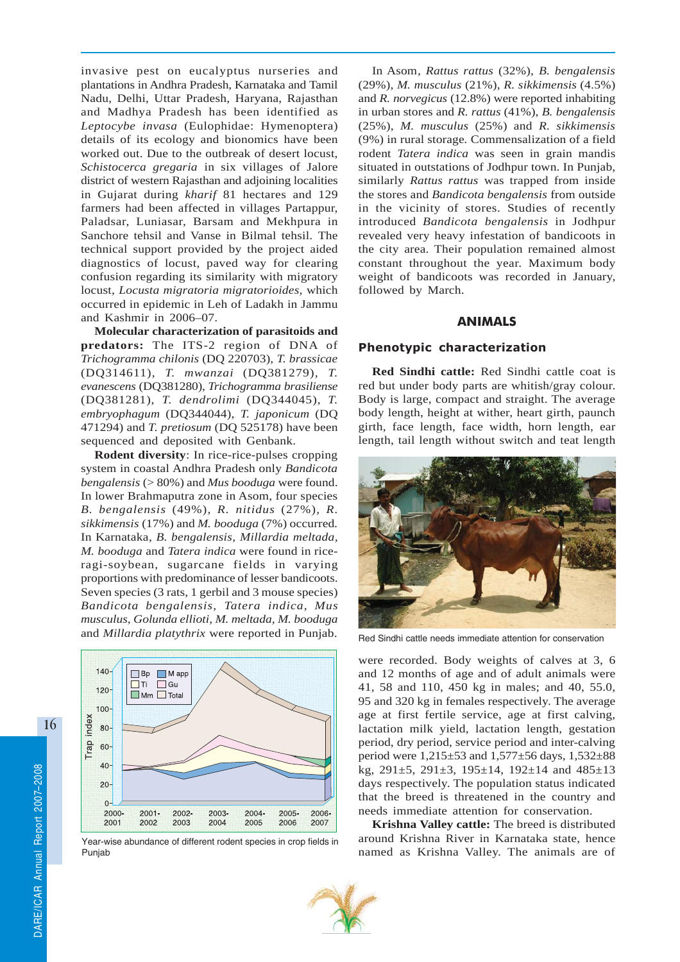invasive pest on eucalyptus nurseries and plantations in Andhra Pradesh, Karnataka and Tamil Nadu, Delhi, Uttar Pradesh, Haryana, Rajasthan and Madhya Pradesh has been identified as *Leptocybe invasa* (Eulophidae: Hymenoptera) details of its ecology and bionomics have been worked out. Due to the outbreak of desert locust, *Schistocerca gregaria* in six villages of Jalore district of western Rajasthan and adjoining localities in Gujarat during *kharif* 81 hectares and 129 farmers had been affected in villages Partappur, Paladsar, Luniasar, Barsam and Mekhpura in Sanchore tehsil and Vanse in Bilmal tehsil. The technical support provided by the project aided diagnostics of locust, paved way for clearing confusion regarding its similarity with migratory locust, *Locusta migratoria migratorioides,* which occurred in epidemic in Leh of Ladakh in Jammu and Kashmir in 2006–07.

**Molecular characterization of parasitoids and predators:** The ITS-2 region of DNA of *Trichogramma chilonis* (DQ 220703), *T. brassicae* (DQ314611), *T. mwanzai* (DQ381279), *T. evanescens* (DQ381280), *Trichogramma brasiliense* (DQ381281), *T. dendrolimi* (DQ344045), *T. embryophagum* (DQ344044), *T. japonicum* (DQ 471294) and *T. pretiosum* (DQ 525178) have been sequenced and deposited with Genbank.

**Rodent diversity**: In rice-rice-pulses cropping system in coastal Andhra Pradesh only *Bandicota bengalensis* (> 80%) and *Mus booduga* were found. In lower Brahmaputra zone in Asom, four species *B. bengalensis* (49%), *R. nitidus* (27%)*, R. sikkimensis* (17%) and *M. booduga* (7%) occurred*.* In Karnataka*, B. bengalensis, Millardia meltada, M. booduga* and *Tatera indica* were found in riceragi-soybean, sugarcane fields in varying proportions with predominance of lesser bandicoots. Seven species (3 rats, 1 gerbil and 3 mouse species) *Bandicota bengalensis, Tatera indica, Mus musculus, Golunda ellioti, M. meltada, M. booduga* and *Millardia platythrix* were reported in Punjab.



Year-wise abundance of different rodent species in crop fields in Punjab

In Asom*, Rattus rattus* (32%)*, B. bengalensis* (29%), *M. musculus* (21%), *R. sikkimensis* (4.5%) and *R. norvegicus* (12.8%) were reported inhabiting in urban stores and *R. rattus* (41%), *B. bengalensis* (25%), *M. musculus* (25%) and *R. sikkimensis* (9%) in rural storage*.* Commensalization of a field rodent *Tatera indica* was seen in grain mandis situated in outstations of Jodhpur town. In Punjab, similarly *Rattus rattus* was trapped from inside the stores and *Bandicota bengalensis* from outside in the vicinity of stores. Studies of recently introduced *Bandicota bengalensis* in Jodhpur revealed very heavy infestation of bandicoots in the city area. Their population remained almost constant throughout the year. Maximum body weight of bandicoots was recorded in January, followed by March.

## ANIMALS

## Phenotypic characterization

**Red Sindhi cattle:** Red Sindhi cattle coat is red but under body parts are whitish/gray colour. Body is large, compact and straight. The average body length, height at wither, heart girth, paunch girth, face length, face width, horn length, ear length, tail length without switch and teat length



Red Sindhi cattle needs immediate attention for conservation

were recorded. Body weights of calves at 3, 6 and 12 months of age and of adult animals were 41, 58 and 110, 450 kg in males; and 40, 55.0, 95 and 320 kg in females respectively. The average age at first fertile service, age at first calving, lactation milk yield, lactation length, gestation period, dry period, service period and inter-calving period were 1,215±53 and 1,577±56 days, 1,532±88 kg, 291±5, 291±3, 195±14, 192±14 and 485±13 days respectively. The population status indicated that the breed is threatened in the country and needs immediate attention for conservation.

**Krishna Valley cattle:** The breed is distributed around Krishna River in Karnataka state, hence named as Krishna Valley. The animals are of

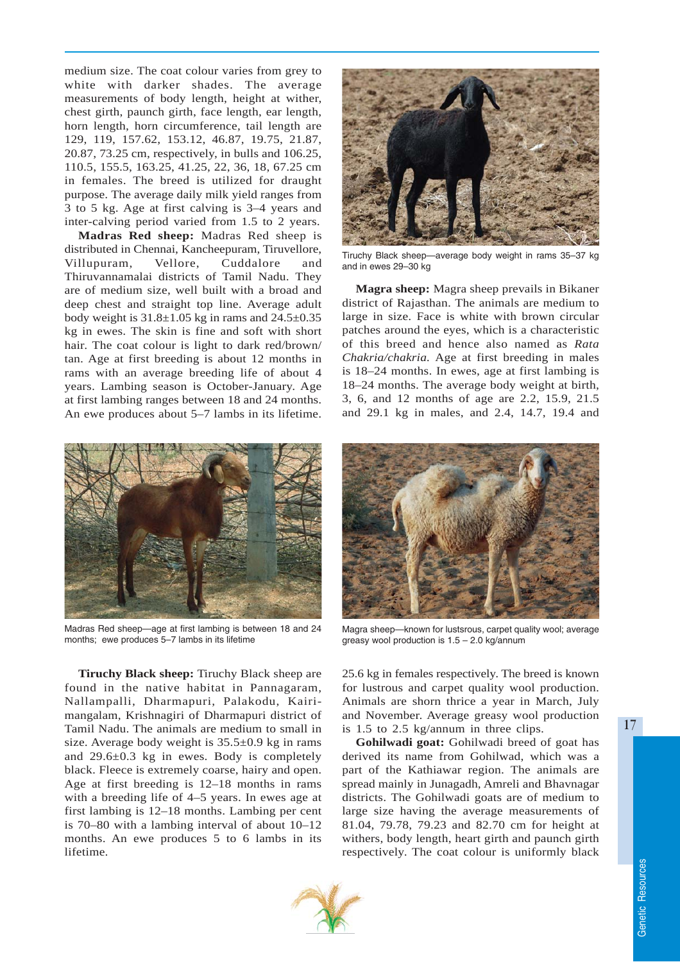medium size. The coat colour varies from grey to white with darker shades. The average measurements of body length, height at wither, chest girth, paunch girth, face length, ear length, horn length, horn circumference, tail length are 129, 119, 157.62, 153.12, 46.87, 19.75, 21.87, 20.87, 73.25 cm, respectively, in bulls and 106.25, 110.5, 155.5, 163.25, 41.25, 22, 36, 18, 67.25 cm in females. The breed is utilized for draught purpose. The average daily milk yield ranges from 3 to 5 kg. Age at first calving is 3–4 years and inter-calving period varied from 1.5 to 2 years.

**Madras Red sheep:** Madras Red sheep is distributed in Chennai, Kancheepuram, Tiruvellore, Villupuram, Vellore, Cuddalore and Thiruvannamalai districts of Tamil Nadu. They are of medium size, well built with a broad and deep chest and straight top line. Average adult body weight is  $31.8 \pm 1.05$  kg in rams and  $24.5 \pm 0.35$ kg in ewes. The skin is fine and soft with short hair. The coat colour is light to dark red/brown/ tan. Age at first breeding is about 12 months in rams with an average breeding life of about 4 years. Lambing season is October-January. Age at first lambing ranges between 18 and 24 months. An ewe produces about 5–7 lambs in its lifetime.



Tiruchy Black sheep—average body weight in rams 35–37 kg and in ewes 29–30 kg

**Magra sheep:** Magra sheep prevails in Bikaner district of Rajasthan. The animals are medium to large in size. Face is white with brown circular patches around the eyes, which is a characteristic of this breed and hence also named as *Rata Chakria/chakria.* Age at first breeding in males is 18–24 months. In ewes, age at first lambing is 18–24 months. The average body weight at birth, 3, 6, and 12 months of age are 2.2, 15.9, 21.5 and 29.1 kg in males, and 2.4, 14.7, 19.4 and



Madras Red sheep—age at first lambing is between 18 and 24 months; ewe produces 5–7 lambs in its lifetime

**Tiruchy Black sheep:** Tiruchy Black sheep are found in the native habitat in Pannagaram, Nallampalli, Dharmapuri, Palakodu, Kairimangalam, Krishnagiri of Dharmapuri district of Tamil Nadu. The animals are medium to small in size. Average body weight is 35.5±0.9 kg in rams and 29.6±0.3 kg in ewes. Body is completely black. Fleece is extremely coarse, hairy and open. Age at first breeding is 12–18 months in rams with a breeding life of 4–5 years. In ewes age at first lambing is 12–18 months. Lambing per cent is 70–80 with a lambing interval of about 10–12 months. An ewe produces 5 to 6 lambs in its lifetime.



Magra sheep—known for lustsrous, carpet quality wool; average greasy wool production is 1.5 – 2.0 kg/annum

25.6 kg in females respectively. The breed is known for lustrous and carpet quality wool production. Animals are shorn thrice a year in March, July and November. Average greasy wool production is 1.5 to 2.5 kg/annum in three clips.

**Gohilwadi goat:** Gohilwadi breed of goat has derived its name from Gohilwad, which was a part of the Kathiawar region. The animals are spread mainly in Junagadh, Amreli and Bhavnagar districts. The Gohilwadi goats are of medium to large size having the average measurements of 81.04, 79.78, 79.23 and 82.70 cm for height at withers, body length, heart girth and paunch girth respectively. The coat colour is uniformly black



17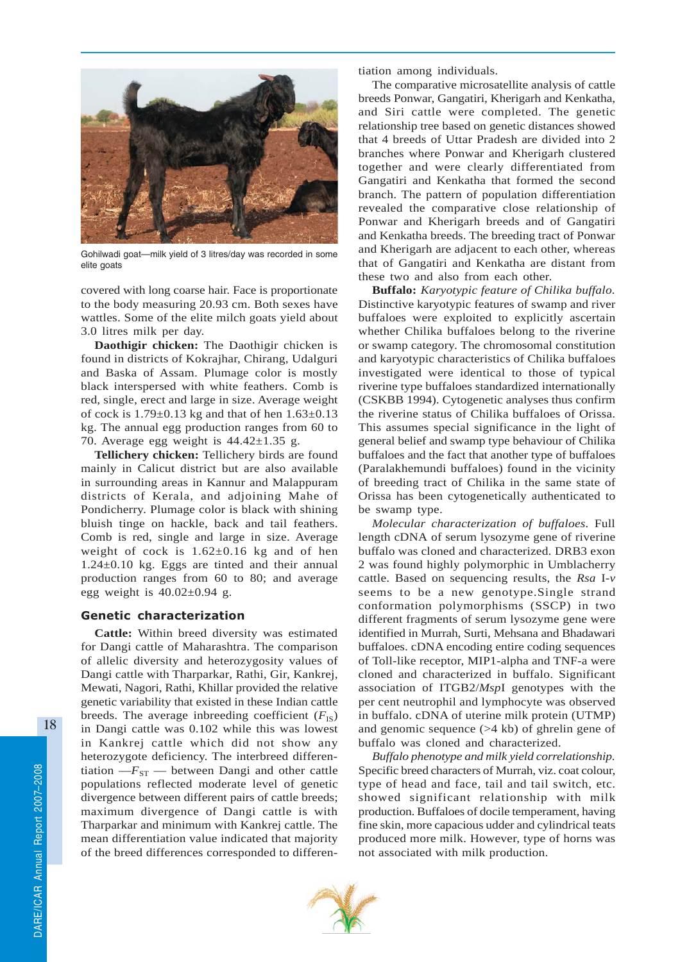

Gohilwadi goat—milk yield of 3 litres/day was recorded in some elite goats

covered with long coarse hair. Face is proportionate to the body measuring 20.93 cm. Both sexes have wattles. Some of the elite milch goats yield about 3.0 litres milk per day.

**Daothigir chicken:** The Daothigir chicken is found in districts of Kokrajhar, Chirang, Udalguri and Baska of Assam. Plumage color is mostly black interspersed with white feathers. Comb is red, single, erect and large in size. Average weight of cock is  $1.79\pm0.13$  kg and that of hen  $1.63\pm0.13$ kg. The annual egg production ranges from 60 to 70. Average egg weight is  $44.42 \pm 1.35$  g.

**Tellichery chicken:** Tellichery birds are found mainly in Calicut district but are also available in surrounding areas in Kannur and Malappuram districts of Kerala, and adjoining Mahe of Pondicherry. Plumage color is black with shining bluish tinge on hackle, back and tail feathers. Comb is red, single and large in size. Average weight of cock is 1.62±0.16 kg and of hen 1.24±0.10 kg. Eggs are tinted and their annual production ranges from 60 to 80; and average egg weight is  $40.02 \pm 0.94$  g.

#### Genetic characterization

**Cattle:** Within breed diversity was estimated for Dangi cattle of Maharashtra. The comparison of allelic diversity and heterozygosity values of Dangi cattle with Tharparkar, Rathi, Gir, Kankrej, Mewati, Nagori, Rathi, Khillar provided the relative genetic variability that existed in these Indian cattle breeds. The average inbreeding coefficient  $(F_{IS})$ in Dangi cattle was 0.102 while this was lowest in Kankrej cattle which did not show any heterozygote deficiency. The interbreed differentiation  $-F_{ST}$  — between Dangi and other cattle populations reflected moderate level of genetic divergence between different pairs of cattle breeds; maximum divergence of Dangi cattle is with Tharparkar and minimum with Kankrej cattle. The mean differentiation value indicated that majority of the breed differences corresponded to differentiation among individuals.

The comparative microsatellite analysis of cattle breeds Ponwar, Gangatiri, Kherigarh and Kenkatha, and Siri cattle were completed. The genetic relationship tree based on genetic distances showed that 4 breeds of Uttar Pradesh are divided into 2 branches where Ponwar and Kherigarh clustered together and were clearly differentiated from Gangatiri and Kenkatha that formed the second branch. The pattern of population differentiation revealed the comparative close relationship of Ponwar and Kherigarh breeds and of Gangatiri and Kenkatha breeds. The breeding tract of Ponwar and Kherigarh are adjacent to each other, whereas that of Gangatiri and Kenkatha are distant from these two and also from each other.

**Buffalo:** *Karyotypic feature of Chilika buffalo.* Distinctive karyotypic features of swamp and river buffaloes were exploited to explicitly ascertain whether Chilika buffaloes belong to the riverine or swamp category. The chromosomal constitution and karyotypic characteristics of Chilika buffaloes investigated were identical to those of typical riverine type buffaloes standardized internationally (CSKBB 1994). Cytogenetic analyses thus confirm the riverine status of Chilika buffaloes of Orissa. This assumes special significance in the light of general belief and swamp type behaviour of Chilika buffaloes and the fact that another type of buffaloes (Paralakhemundi buffaloes) found in the vicinity of breeding tract of Chilika in the same state of Orissa has been cytogenetically authenticated to be swamp type.

*Molecular characterization of buffaloes.* Full length cDNA of serum lysozyme gene of riverine buffalo was cloned and characterized. DRB3 exon 2 was found highly polymorphic in Umblacherry cattle. Based on sequencing results, the *Rsa* I*-v* seems to be a new genotype.Single strand conformation polymorphisms (SSCP) in two different fragments of serum lysozyme gene were identified in Murrah, Surti, Mehsana and Bhadawari buffaloes. cDNA encoding entire coding sequences of Toll-like receptor, MIP1-alpha and TNF-a were cloned and characterized in buffalo. Significant association of ITGB2/*Msp*I genotypes with the per cent neutrophil and lymphocyte was observed in buffalo. cDNA of uterine milk protein (UTMP) and genomic sequence (>4 kb) of ghrelin gene of buffalo was cloned and characterized.

*Buffalo phenotype and milk yield correlationship.* Specific breed characters of Murrah, viz. coat colour, type of head and face, tail and tail switch, etc. showed significant relationship with milk production. Buffaloes of docile temperament, having fine skin, more capacious udder and cylindrical teats produced more milk. However, type of horns was not associated with milk production.

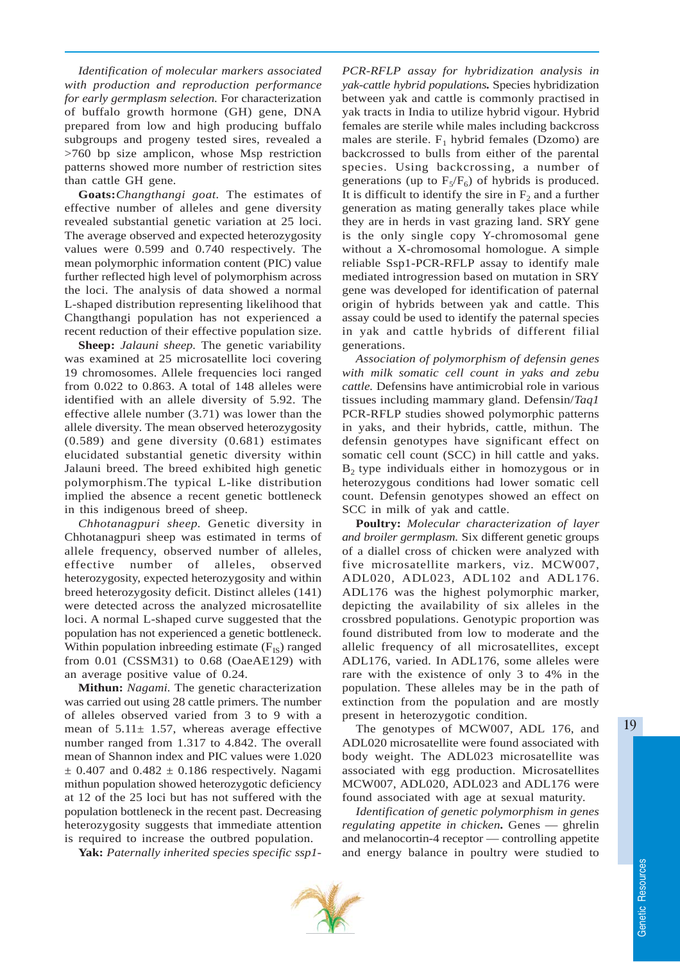*Identification of molecular markers associated with production and reproduction performance for early germplasm selection.* For characterization of buffalo growth hormone (GH) gene, DNA prepared from low and high producing buffalo subgroups and progeny tested sires, revealed a >760 bp size amplicon, whose Msp restriction patterns showed more number of restriction sites than cattle GH gene.

**Goats:***Changthangi goat.* The estimates of effective number of alleles and gene diversity revealed substantial genetic variation at 25 loci. The average observed and expected heterozygosity values were 0.599 and 0.740 respectively. The mean polymorphic information content (PIC) value further reflected high level of polymorphism across the loci. The analysis of data showed a normal L-shaped distribution representing likelihood that Changthangi population has not experienced a recent reduction of their effective population size.

**Sheep:** *Jalauni sheep.* The genetic variability was examined at 25 microsatellite loci covering 19 chromosomes. Allele frequencies loci ranged from 0.022 to 0.863. A total of 148 alleles were identified with an allele diversity of 5.92. The effective allele number (3.71) was lower than the allele diversity. The mean observed heterozygosity (0.589) and gene diversity (0.681) estimates elucidated substantial genetic diversity within Jalauni breed. The breed exhibited high genetic polymorphism.The typical L-like distribution implied the absence a recent genetic bottleneck in this indigenous breed of sheep.

*Chhotanagpuri sheep.* Genetic diversity in Chhotanagpuri sheep was estimated in terms of allele frequency, observed number of alleles, effective number of alleles, observed heterozygosity, expected heterozygosity and within breed heterozygosity deficit. Distinct alleles (141) were detected across the analyzed microsatellite loci. A normal L-shaped curve suggested that the population has not experienced a genetic bottleneck. Within population inbreeding estimate  $(F_{IS})$  ranged from 0.01 (CSSM31) to 0.68 (OaeAE129) with an average positive value of 0.24.

**Mithun:** *Nagami.* The genetic characterization was carried out using 28 cattle primers. The number of alleles observed varied from 3 to 9 with a mean of  $5.11 \pm 1.57$ , whereas average effective number ranged from 1.317 to 4.842. The overall mean of Shannon index and PIC values were 1.020  $\pm$  0.407 and 0.482  $\pm$  0.186 respectively. Nagami mithun population showed heterozygotic deficiency at 12 of the 25 loci but has not suffered with the population bottleneck in the recent past. Decreasing heterozygosity suggests that immediate attention is required to increase the outbred population.

**Yak:** *Paternally inherited species specific ssp1-*

*PCR-RFLP assay for hybridization analysis in yak-cattle hybrid populations.* Species hybridization between yak and cattle is commonly practised in yak tracts in India to utilize hybrid vigour. Hybrid females are sterile while males including backcross males are sterile.  $F_1$  hybrid females (Dzomo) are backcrossed to bulls from either of the parental species. Using backcrossing, a number of generations (up to  $F_5/F_6$ ) of hybrids is produced. It is difficult to identify the sire in  $F<sub>2</sub>$  and a further generation as mating generally takes place while they are in herds in vast grazing land. SRY gene is the only single copy Y-chromosomal gene without a X-chromosomal homologue. A simple reliable Ssp1*-*PCR-RFLP assay to identify male mediated introgression based on mutation in SRY gene was developed for identification of paternal origin of hybrids between yak and cattle. This assay could be used to identify the paternal species in yak and cattle hybrids of different filial generations.

*Association of polymorphism of defensin genes with milk somatic cell count in yaks and zebu cattle.* Defensins have antimicrobial role in various tissues including mammary gland. Defensin/*Taq1* PCR-RFLP studies showed polymorphic patterns in yaks, and their hybrids, cattle, mithun. The defensin genotypes have significant effect on somatic cell count (SCC) in hill cattle and yaks.  $B<sub>2</sub>$  type individuals either in homozygous or in heterozygous conditions had lower somatic cell count. Defensin genotypes showed an effect on SCC in milk of yak and cattle.

**Poultry:** *Molecular characterization of layer and broiler germplasm.* Six different genetic groups of a diallel cross of chicken were analyzed with five microsatellite markers, viz. MCW007, ADL020, ADL023, ADL102 and ADL176. ADL176 was the highest polymorphic marker, depicting the availability of six alleles in the crossbred populations. Genotypic proportion was found distributed from low to moderate and the allelic frequency of all microsatellites, except ADL176, varied. In ADL176, some alleles were rare with the existence of only 3 to 4% in the population. These alleles may be in the path of extinction from the population and are mostly present in heterozygotic condition.

The genotypes of MCW007, ADL 176, and ADL020 microsatellite were found associated with body weight. The ADL023 microsatellite was associated with egg production. Microsatellites MCW007, ADL020, ADL023 and ADL176 were found associated with age at sexual maturity.

*Identification of genetic polymorphism in genes regulating appetite in chicken.* Genes — ghrelin and melanocortin-4 receptor — controlling appetite and energy balance in poultry were studied to



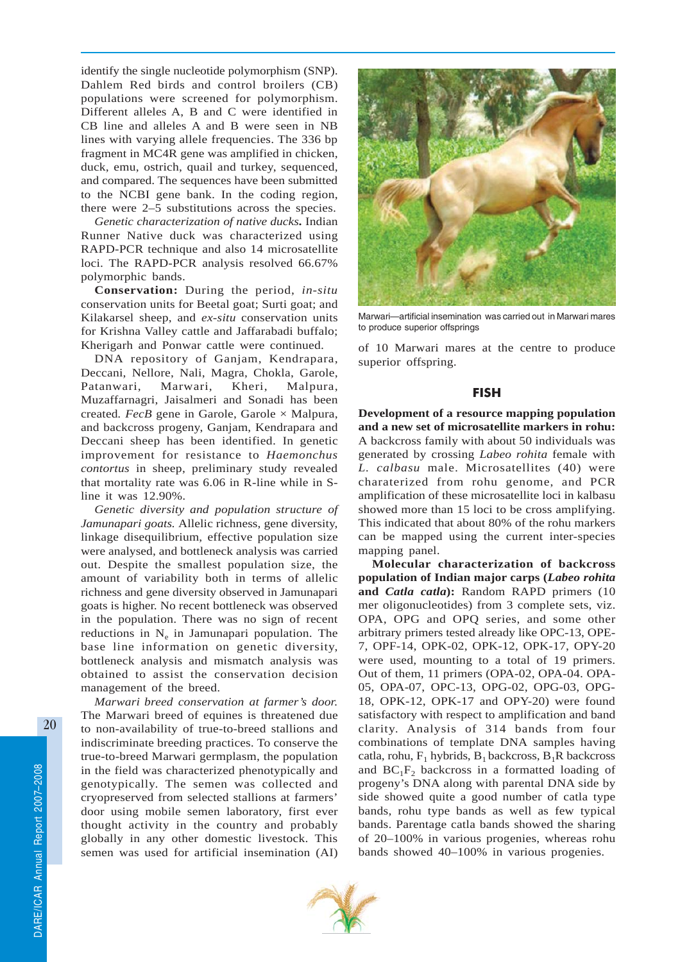identify the single nucleotide polymorphism (SNP). Dahlem Red birds and control broilers (CB) populations were screened for polymorphism. Different alleles A, B and C were identified in CB line and alleles A and B were seen in NB lines with varying allele frequencies. The 336 bp fragment in MC4R gene was amplified in chicken, duck, emu, ostrich, quail and turkey, sequenced, and compared. The sequences have been submitted to the NCBI gene bank. In the coding region, there were 2–5 substitutions across the species.

*Genetic characterization of native ducks.* Indian Runner Native duck was characterized using RAPD-PCR technique and also 14 microsatellite loci. The RAPD-PCR analysis resolved 66.67% polymorphic bands.

**Conservation:** During the period, *in-situ* conservation units for Beetal goat; Surti goat; and Kilakarsel sheep, and *ex-situ* conservation units for Krishna Valley cattle and Jaffarabadi buffalo; Kherigarh and Ponwar cattle were continued.

DNA repository of Ganjam, Kendrapara, Deccani, Nellore, Nali, Magra, Chokla, Garole, Patanwari, Marwari, Kheri, Malpura, Muzaffarnagri, Jaisalmeri and Sonadi has been created*. FecB* gene in Garole, Garole × Malpura, and backcross progeny, Ganjam, Kendrapara and Deccani sheep has been identified. In genetic improvement for resistance to *Haemonchus contortus* in sheep, preliminary study revealed that mortality rate was 6.06 in R-line while in Sline it was 12.90%.

*Genetic diversity and population structure of Jamunapari goats.* Allelic richness, gene diversity, linkage disequilibrium, effective population size were analysed, and bottleneck analysis was carried out. Despite the smallest population size, the amount of variability both in terms of allelic richness and gene diversity observed in Jamunapari goats is higher. No recent bottleneck was observed in the population. There was no sign of recent reductions in  $N_e$  in Jamunapari population. The base line information on genetic diversity, bottleneck analysis and mismatch analysis was obtained to assist the conservation decision management of the breed.

*Marwari breed conservation at farmer's door.* The Marwari breed of equines is threatened due to non-availability of true-to-breed stallions and indiscriminate breeding practices. To conserve the true-to-breed Marwari germplasm, the population in the field was characterized phenotypically and genotypically. The semen was collected and cryopreserved from selected stallions at farmers' door using mobile semen laboratory, first ever thought activity in the country and probably globally in any other domestic livestock. This semen was used for artificial insemination (AI)



Marwari—artificial insemination was carried out in Marwari mares to produce superior offsprings

of 10 Marwari mares at the centre to produce superior offspring.

## FISH

**Development of a resource mapping population and a new set of microsatellite markers in rohu:** A backcross family with about 50 individuals was generated by crossing *Labeo rohita* female with *L. calbasu* male. Microsatellites (40) were charaterized from rohu genome, and PCR amplification of these microsatellite loci in kalbasu showed more than 15 loci to be cross amplifying. This indicated that about 80% of the rohu markers can be mapped using the current inter-species mapping panel.

**Molecular characterization of backcross population of Indian major carps (***Labeo rohita* **and** *Catla catla***):** Random RAPD primers (10 mer oligonucleotides) from 3 complete sets, viz. OPA, OPG and OPQ series, and some other arbitrary primers tested already like OPC-13, OPE-7, OPF-14, OPK-02, OPK-12, OPK-17, OPY-20 were used, mounting to a total of 19 primers. Out of them, 11 primers (OPA-02, OPA-04. OPA-05, OPA-07, OPC-13, OPG-02, OPG-03, OPG-18, OPK-12, OPK-17 and OPY-20) were found satisfactory with respect to amplification and band clarity. Analysis of 314 bands from four combinations of template DNA samples having catla, rohu,  $F_1$  hybrids,  $B_1$  backcross,  $B_1R$  backcross and  $BC_1F_2$  backcross in a formatted loading of progeny's DNA along with parental DNA side by side showed quite a good number of catla type bands, rohu type bands as well as few typical bands. Parentage catla bands showed the sharing of 20–100% in various progenies, whereas rohu bands showed 40–100% in various progenies.